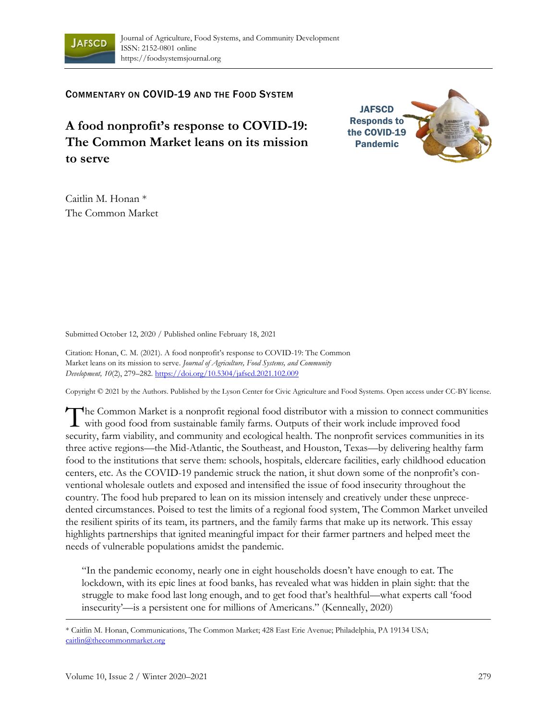

COMMENTARY ON COVID-19 AND THE FOOD SYSTEM

**A food nonprofit's response to COVID-19: The Common Market leans on its mission to serve**



Caitlin M. Honan \* The Common Market

Submitted October 12, 2020 / Published online February 18, 2021

Citation: Honan, C. M. (2021). A food nonprofit's response to COVID-19: The Common Market leans on its mission to serve. *Journal of Agriculture, Food Systems, and Community Development, 10*(2), 279–282. https://doi.org/10.5304/jafscd.2021.102.009

Copyright © 2021 by the Authors. Published by the Lyson Center for Civic Agriculture and Food Systems. Open access under CC-BY license.

The Common Market is a nonprofit regional food distributor with a mission to connect communities with good food from sustainable family farms. Outputs of their work include improved food **I** with good food from sustainable family farms. Outputs of their work include improved food security, farm viability, and community and ecological health. The nonprofit services communities in its three active regions—the Mid-Atlantic, the Southeast, and Houston, Texas—by delivering healthy farm food to the institutions that serve them: schools, hospitals, eldercare facilities, early childhood education centers, etc. As the COVID-19 pandemic struck the nation, it shut down some of the nonprofit's conventional wholesale outlets and exposed and intensified the issue of food insecurity throughout the country. The food hub prepared to lean on its mission intensely and creatively under these unprecedented circumstances. Poised to test the limits of a regional food system, The Common Market unveiled the resilient spirits of its team, its partners, and the family farms that make up its network. This essay highlights partnerships that ignited meaningful impact for their farmer partners and helped meet the needs of vulnerable populations amidst the pandemic.

"In the pandemic economy, nearly one in eight households doesn't have enough to eat. The lockdown, with its epic lines at food banks, has revealed what was hidden in plain sight: that the struggle to make food last long enough, and to get food that's healthful—what experts call 'food insecurity'—is a persistent one for millions of Americans." (Kenneally, 2020)

\* Caitlin M. Honan, Communications, The Common Market; 428 East Erie Avenue; Philadelphia, PA 19134 USA; caitlin@thecommonmarket.org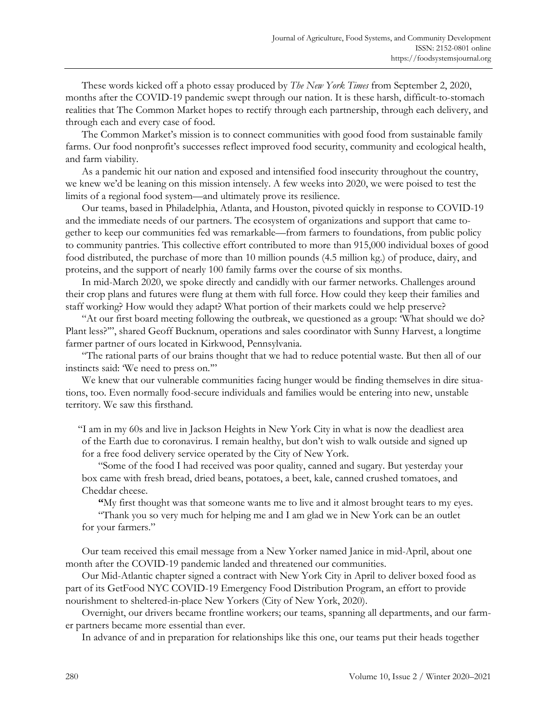These words kicked off a photo essay produced by *The New York Times* from September 2, 2020, months after the COVID-19 pandemic swept through our nation. It is these harsh, difficult-to-stomach realities that The Common Market hopes to rectify through each partnership, through each delivery, and through each and every case of food.

The Common Market's mission is to connect communities with good food from sustainable family farms. Our food nonprofit's successes reflect improved food security, community and ecological health, and farm viability.

As a pandemic hit our nation and exposed and intensified food insecurity throughout the country, we knew we'd be leaning on this mission intensely. A few weeks into 2020, we were poised to test the limits of a regional food system—and ultimately prove its resilience.

Our teams, based in Philadelphia, Atlanta, and Houston, pivoted quickly in response to COVID-19 and the immediate needs of our partners. The ecosystem of organizations and support that came together to keep our communities fed was remarkable—from farmers to foundations, from public policy to community pantries. This collective effort contributed to more than 915,000 individual boxes of good food distributed, the purchase of more than 10 million pounds (4.5 million kg.) of produce, dairy, and proteins, and the support of nearly 100 family farms over the course of six months.

In mid-March 2020, we spoke directly and candidly with our farmer networks. Challenges around their crop plans and futures were flung at them with full force. How could they keep their families and staff working? How would they adapt? What portion of their markets could we help preserve?

"At our first board meeting following the outbreak, we questioned as a group: 'What should we do? Plant less?'", shared Geoff Bucknum, operations and sales coordinator with Sunny Harvest, a longtime farmer partner of ours located in Kirkwood, Pennsylvania.

"The rational parts of our brains thought that we had to reduce potential waste. But then all of our instincts said: 'We need to press on.'"

We knew that our vulnerable communities facing hunger would be finding themselves in dire situations, too. Even normally food-secure individuals and families would be entering into new, unstable territory. We saw this firsthand.

"I am in my 60s and live in Jackson Heights in New York City in what is now the deadliest area of the Earth due to coronavirus. I remain healthy, but don't wish to walk outside and signed up for a free food delivery service operated by the City of New York.

"Some of the food I had received was poor quality, canned and sugary. But yesterday your box came with fresh bread, dried beans, potatoes, a beet, kale, canned crushed tomatoes, and Cheddar cheese.

**"**My first thought was that someone wants me to live and it almost brought tears to my eyes.

"Thank you so very much for helping me and I am glad we in New York can be an outlet for your farmers."

Our team received this email message from a New Yorker named Janice in mid-April, about one month after the COVID-19 pandemic landed and threatened our communities.

Our Mid-Atlantic chapter signed a contract with New York City in April to deliver boxed food as part of its GetFood NYC COVID-19 Emergency Food Distribution Program, an effort to provide nourishment to sheltered-in-place New Yorkers (City of New York, 2020).

Overnight, our drivers became frontline workers; our teams, spanning all departments, and our farmer partners became more essential than ever.

In advance of and in preparation for relationships like this one, our teams put their heads together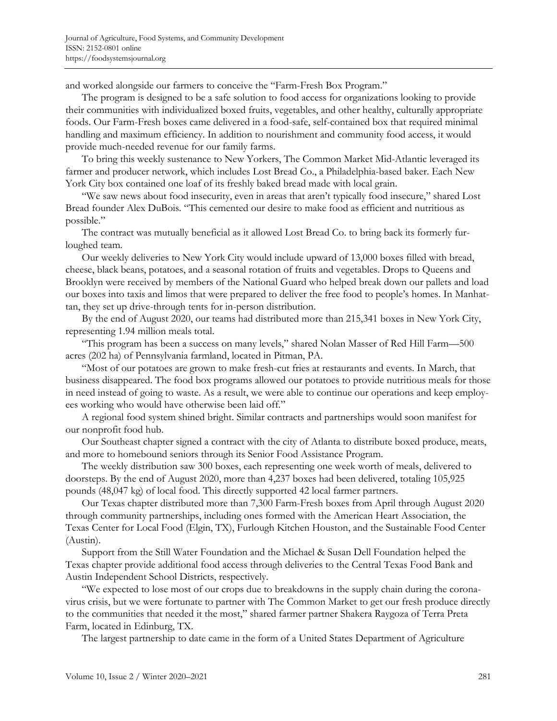and worked alongside our farmers to conceive the "Farm-Fresh Box Program."

The program is designed to be a safe solution to food access for organizations looking to provide their communities with individualized boxed fruits, vegetables, and other healthy, culturally appropriate foods. Our Farm-Fresh boxes came delivered in a food-safe, self-contained box that required minimal handling and maximum efficiency. In addition to nourishment and community food access, it would provide much-needed revenue for our family farms.

To bring this weekly sustenance to New Yorkers, The Common Market Mid-Atlantic leveraged its farmer and producer network, which includes Lost Bread Co., a Philadelphia-based baker. Each New York City box contained one loaf of its freshly baked bread made with local grain.

"We saw news about food insecurity, even in areas that aren't typically food insecure," shared Lost Bread founder Alex DuBois. "This cemented our desire to make food as efficient and nutritious as possible."

The contract was mutually beneficial as it allowed Lost Bread Co. to bring back its formerly furloughed team.

Our weekly deliveries to New York City would include upward of 13,000 boxes filled with bread, cheese, black beans, potatoes, and a seasonal rotation of fruits and vegetables. Drops to Queens and Brooklyn were received by members of the National Guard who helped break down our pallets and load our boxes into taxis and limos that were prepared to deliver the free food to people's homes. In Manhattan, they set up drive-through tents for in-person distribution.

By the end of August 2020, our teams had distributed more than 215,341 boxes in New York City, representing 1.94 million meals total.

"This program has been a success on many levels," shared Nolan Masser of Red Hill Farm—500 acres (202 ha) of Pennsylvania farmland, located in Pitman, PA.

"Most of our potatoes are grown to make fresh-cut fries at restaurants and events. In March, that business disappeared. The food box programs allowed our potatoes to provide nutritious meals for those in need instead of going to waste. As a result, we were able to continue our operations and keep employees working who would have otherwise been laid off."

A regional food system shined bright. Similar contracts and partnerships would soon manifest for our nonprofit food hub.

Our Southeast chapter signed a contract with the city of Atlanta to distribute boxed produce, meats, and more to homebound seniors through its Senior Food Assistance Program.

The weekly distribution saw 300 boxes, each representing one week worth of meals, delivered to doorsteps. By the end of August 2020, more than 4,237 boxes had been delivered, totaling 105,925 pounds (48,047 kg) of local food. This directly supported 42 local farmer partners.

Our Texas chapter distributed more than 7,300 Farm-Fresh boxes from April through August 2020 through community partnerships, including ones formed with the American Heart Association, the Texas Center for Local Food (Elgin, TX), Furlough Kitchen Houston, and the Sustainable Food Center (Austin).

Support from the Still Water Foundation and the Michael & Susan Dell Foundation helped the Texas chapter provide additional food access through deliveries to the Central Texas Food Bank and Austin Independent School Districts, respectively.

"We expected to lose most of our crops due to breakdowns in the supply chain during the coronavirus crisis, but we were fortunate to partner with The Common Market to get our fresh produce directly to the communities that needed it the most," shared farmer partner Shakera Raygoza of Terra Preta Farm, located in Edinburg, TX.

The largest partnership to date came in the form of a United States Department of Agriculture